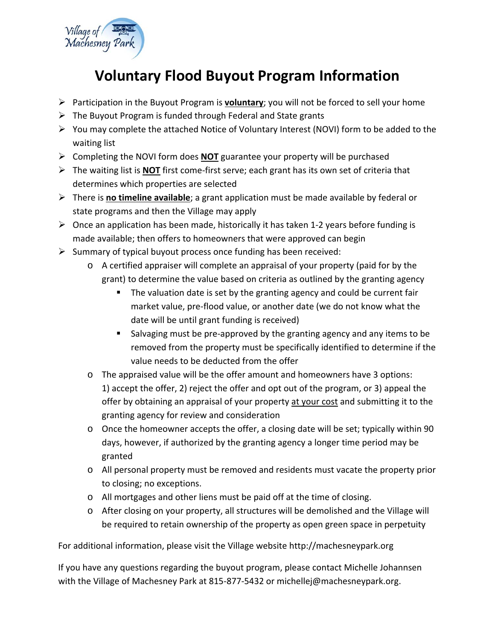

## **Voluntary Flood Buyout Program Information**

- Participation in the Buyout Program is **voluntary**; you will not be forced to sell your home
- $\triangleright$  The Buyout Program is funded through Federal and State grants
- $\triangleright$  You may complete the attached Notice of Voluntary Interest (NOVI) form to be added to the waiting list
- Completing the NOVI form does **NOT** guarantee your property will be purchased
- The waiting list is **NOT** first come‐first serve; each grant has its own set of criteria that determines which properties are selected
- There is **no timeline available**; a grant application must be made available by federal or state programs and then the Village may apply
- Once an application has been made, historically it has taken 1‐2 years before funding is made available; then offers to homeowners that were approved can begin
- $\triangleright$  Summary of typical buyout process once funding has been received:
	- o A certified appraiser will complete an appraisal of your property (paid for by the grant) to determine the value based on criteria as outlined by the granting agency
		- The valuation date is set by the granting agency and could be current fair market value, pre‐flood value, or another date (we do not know what the date will be until grant funding is received)
		- Salvaging must be pre-approved by the granting agency and any items to be removed from the property must be specifically identified to determine if the value needs to be deducted from the offer
	- o The appraised value will be the offer amount and homeowners have 3 options: 1) accept the offer, 2) reject the offer and opt out of the program, or 3) appeal the offer by obtaining an appraisal of your property at your cost and submitting it to the granting agency for review and consideration
	- o Once the homeowner accepts the offer, a closing date will be set; typically within 90 days, however, if authorized by the granting agency a longer time period may be granted
	- o All personal property must be removed and residents must vacate the property prior to closing; no exceptions.
	- o All mortgages and other liens must be paid off at the time of closing.
	- o After closing on your property, all structures will be demolished and the Village will be required to retain ownership of the property as open green space in perpetuity

For additional information, please visit the Village website http://machesneypark.org

If you have any questions regarding the buyout program, please contact Michelle Johannsen with the Village of Machesney Park at 815‐877‐5432 or michellej@machesneypark.org.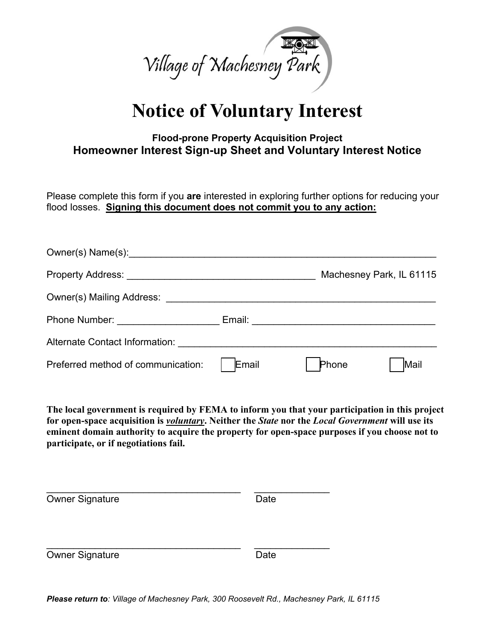

## **Notice of Voluntary Interest**

## **Flood-prone Property Acquisition Project Homeowner Interest Sign-up Sheet and Voluntary Interest Notice**

Please complete this form if you **are** interested in exploring further options for reducing your flood losses. **Signing this document does not commit you to any action:** 

| Owner(s) Name(s): Name (3) 3 and 2012 11 and 2012 12:00 12:00 12:00 12:00 12:00 12:00 12:00 12:00 12:00 12:00 |       |       |                          |  |
|---------------------------------------------------------------------------------------------------------------|-------|-------|--------------------------|--|
|                                                                                                               |       |       | Machesney Park, IL 61115 |  |
|                                                                                                               |       |       |                          |  |
| Phone Number: 2008                                                                                            |       |       |                          |  |
| Alternate Contact Information:                                                                                |       |       |                          |  |
| Preferred method of communication:                                                                            | Email | Phone | Mail                     |  |

**The local government is required by FEMA to inform you that your participation in this project for open-space acquisition is** *voluntary***. Neither the** *State* **nor the** *Local Government* **will use its eminent domain authority to acquire the property for open-space purposes if you choose not to participate, or if negotiations fail.** 

| <b>Owner Signature</b> | Date |  |
|------------------------|------|--|
|                        |      |  |
| <b>Owner Signature</b> | Date |  |